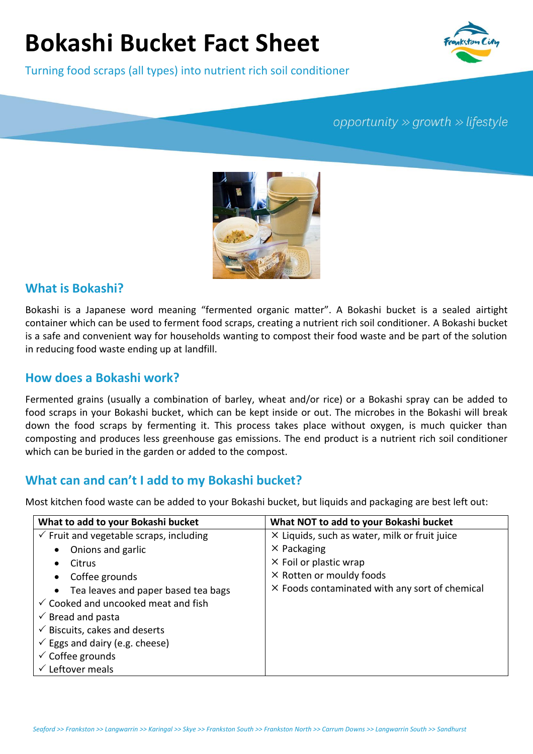# **Bokashi Bucket Fact Sheet**

Turning food scraps (all types) into nutrient rich soil conditioner



### opportunity  $\gg$  growth  $\gg$  lifestyle



#### **What is Bokashi?**

Bokashi is a Japanese word meaning "fermented organic matter". A Bokashi bucket is a sealed airtight container which can be used to ferment food scraps, creating a nutrient rich soil conditioner. A Bokashi bucket is a safe and convenient way for households wanting to compost their food waste and be part of the solution in reducing food waste ending up at landfill.

#### **How does a Bokashi work?**

Fermented grains (usually a combination of barley, wheat and/or rice) or a Bokashi spray can be added to food scraps in your Bokashi bucket, which can be kept inside or out. The microbes in the Bokashi will break down the food scraps by fermenting it. This process takes place without oxygen, is much quicker than composting and produces less greenhouse gas emissions. The end product is a nutrient rich soil conditioner which can be buried in the garden or added to the compost.

## **What can and can't I add to my Bokashi bucket?**

Most kitchen food waste can be added to your Bokashi bucket, but liquids and packaging are best left out:

| What to add to your Bokashi bucket                 | What NOT to add to your Bokashi bucket         |
|----------------------------------------------------|------------------------------------------------|
| $\checkmark$ Fruit and vegetable scraps, including | × Liquids, such as water, milk or fruit juice  |
| Onions and garlic<br>$\bullet$                     | $\times$ Packaging                             |
| Citrus                                             | $\times$ Foil or plastic wrap                  |
| Coffee grounds<br>$\bullet$                        | × Rotten or mouldy foods                       |
| • Tea leaves and paper based tea bags              | × Foods contaminated with any sort of chemical |
| $\checkmark$ Cooked and uncooked meat and fish     |                                                |
| $\checkmark$ Bread and pasta                       |                                                |
| $\checkmark$ Biscuits, cakes and deserts           |                                                |
| $\checkmark$ Eggs and dairy (e.g. cheese)          |                                                |
| $\checkmark$ Coffee grounds                        |                                                |
| $\checkmark$ Leftover meals                        |                                                |